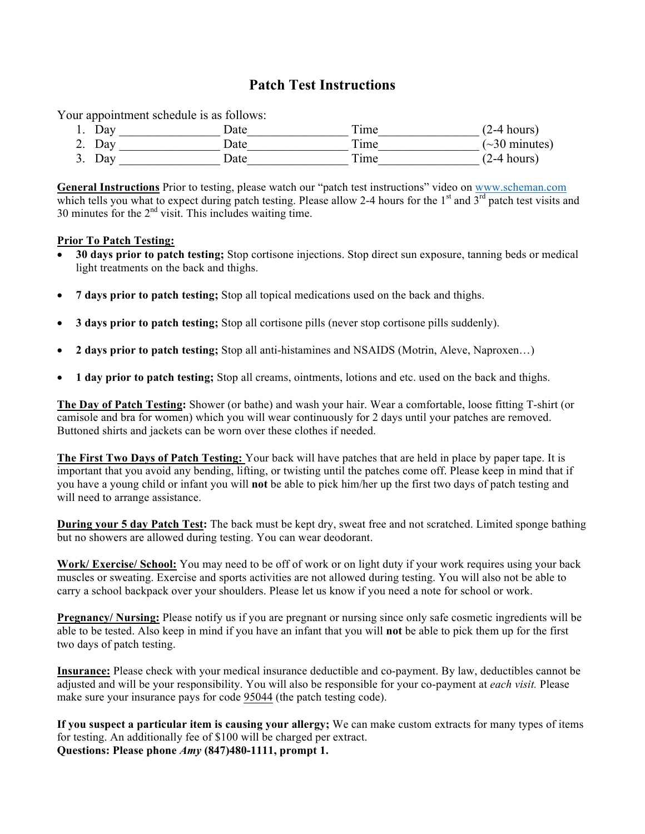## **Patch Test Instructions**

Your appointment schedule is as follows:

1. Day Date Time (2-4 hours) 2. Day \_\_\_\_\_\_\_\_\_\_\_\_\_\_\_\_ Date\_\_\_\_\_\_\_\_\_\_\_\_\_\_\_\_ Time\_\_\_\_\_\_\_\_\_\_\_\_\_\_\_\_ (~30 minutes) 3. Day Date Date Time (2-4 hours)

**General Instructions** Prior to testing, please watch our "patch test instructions" video on www.scheman.com which tells you what to expect during patch testing. Please allow 2-4 hours for the  $1<sup>st</sup>$  and  $3<sup>rd</sup>$  patch test visits and 30 minutes for the  $2<sup>nd</sup>$  visit. This includes waiting time.

### **Prior To Patch Testing:**

- **30 days prior to patch testing;** Stop cortisone injections. Stop direct sun exposure, tanning beds or medical light treatments on the back and thighs.
- **7 days prior to patch testing;** Stop all topical medications used on the back and thighs.
- **3 days prior to patch testing;** Stop all cortisone pills (never stop cortisone pills suddenly).
- **2 days prior to patch testing;** Stop all anti-histamines and NSAIDS (Motrin, Aleve, Naproxen…)
- **1 day prior to patch testing;** Stop all creams, ointments, lotions and etc. used on the back and thighs.

**The Day of Patch Testing:** Shower (or bathe) and wash your hair. Wear a comfortable, loose fitting T-shirt (or camisole and bra for women) which you will wear continuously for 2 days until your patches are removed. Buttoned shirts and jackets can be worn over these clothes if needed.

**The First Two Days of Patch Testing:** Your back will have patches that are held in place by paper tape. It is important that you avoid any bending, lifting, or twisting until the patches come off. Please keep in mind that if you have a young child or infant you will **not** be able to pick him/her up the first two days of patch testing and will need to arrange assistance.

**During your 5 day Patch Test:** The back must be kept dry, sweat free and not scratched. Limited sponge bathing but no showers are allowed during testing. You can wear deodorant.

**Work/ Exercise/ School:** You may need to be off of work or on light duty if your work requires using your back muscles or sweating. Exercise and sports activities are not allowed during testing. You will also not be able to carry a school backpack over your shoulders. Please let us know if you need a note for school or work.

**Pregnancy/ Nursing:** Please notify us if you are pregnant or nursing since only safe cosmetic ingredients will be able to be tested. Also keep in mind if you have an infant that you will **not** be able to pick them up for the first two days of patch testing.

**Insurance:** Please check with your medical insurance deductible and co-payment. By law, deductibles cannot be adjusted and will be your responsibility. You will also be responsible for your co-payment at *each visit.* Please make sure your insurance pays for code 95044 (the patch testing code).

**If you suspect a particular item is causing your allergy;** We can make custom extracts for many types of items for testing. An additionally fee of \$100 will be charged per extract. **Questions: Please phone** *Amy* **(847)480-1111, prompt 1.**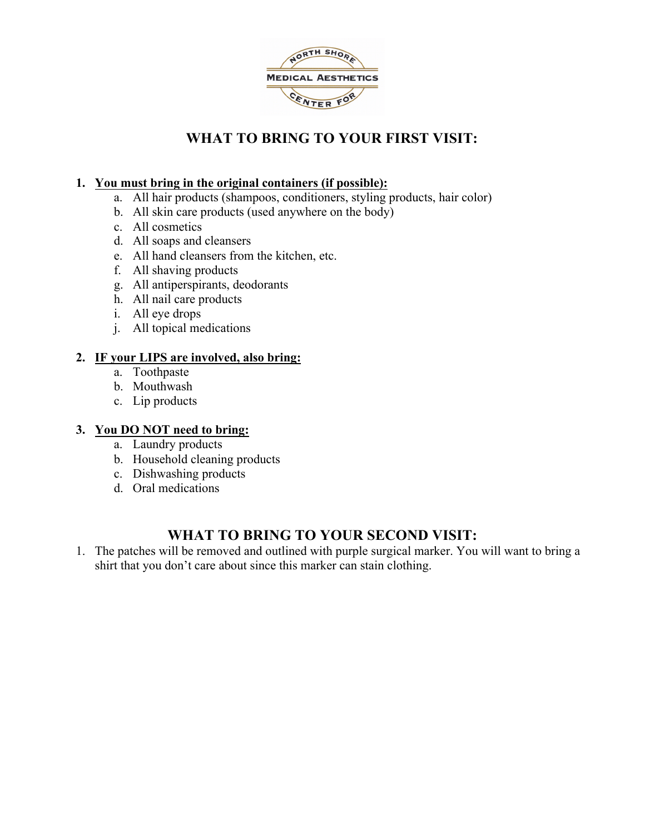

# **WHAT TO BRING TO YOUR FIRST VISIT:**

### **1. You must bring in the original containers (if possible):**

- a. All hair products (shampoos, conditioners, styling products, hair color)
- b. All skin care products (used anywhere on the body)
- c. All cosmetics
- d. All soaps and cleansers
- e. All hand cleansers from the kitchen, etc.
- f. All shaving products
- g. All antiperspirants, deodorants
- h. All nail care products
- i. All eye drops
- j. All topical medications

### **2. IF your LIPS are involved, also bring:**

- a. Toothpaste
- b. Mouthwash
- c. Lip products

### **3. You DO NOT need to bring:**

- a. Laundry products
- b. Household cleaning products
- c. Dishwashing products
- d. Oral medications

# **WHAT TO BRING TO YOUR SECOND VISIT:**

1. The patches will be removed and outlined with purple surgical marker. You will want to bring a shirt that you don't care about since this marker can stain clothing.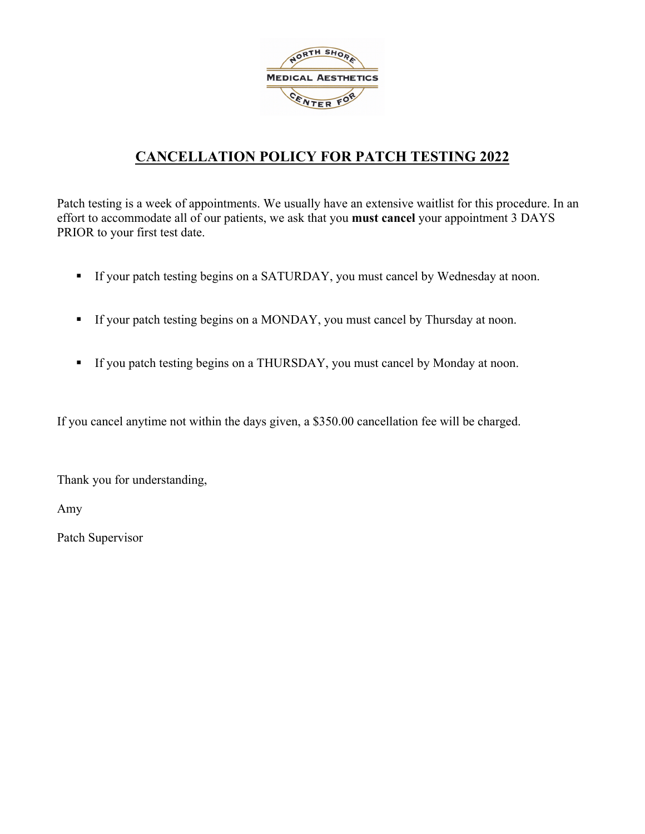

# **CANCELLATION POLICY FOR PATCH TESTING 2022**

Patch testing is a week of appointments. We usually have an extensive waitlist for this procedure. In an effort to accommodate all of our patients, we ask that you **must cancel** your appointment 3 DAYS PRIOR to your first test date.

- If your patch testing begins on a SATURDAY, you must cancel by Wednesday at noon.
- **•** If your patch testing begins on a MONDAY, you must cancel by Thursday at noon.
- If you patch testing begins on a THURSDAY, you must cancel by Monday at noon.

If you cancel anytime not within the days given, a \$350.00 cancellation fee will be charged.

Thank you for understanding,

Amy

Patch Supervisor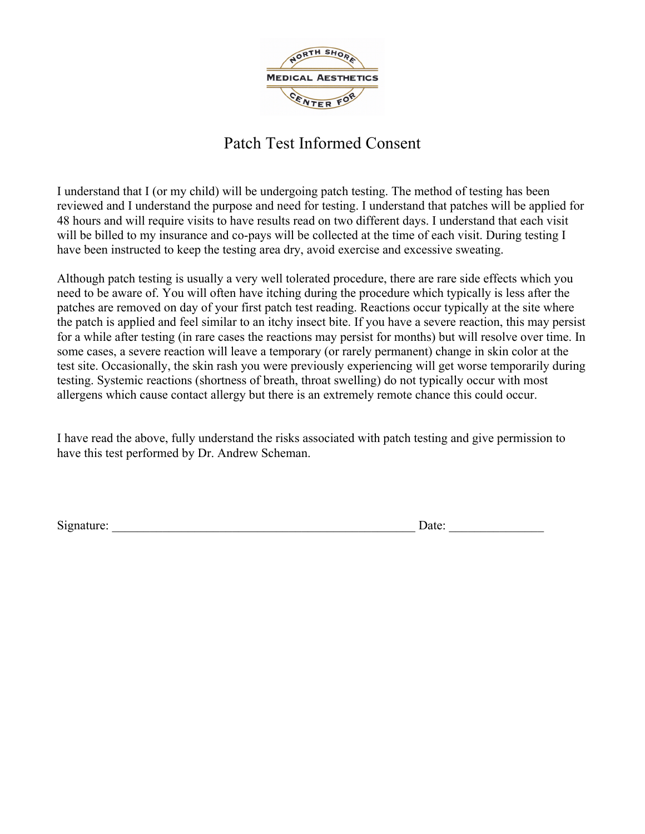

# Patch Test Informed Consent

I understand that I (or my child) will be undergoing patch testing. The method of testing has been reviewed and I understand the purpose and need for testing. I understand that patches will be applied for 48 hours and will require visits to have results read on two different days. I understand that each visit will be billed to my insurance and co-pays will be collected at the time of each visit. During testing I have been instructed to keep the testing area dry, avoid exercise and excessive sweating.

Although patch testing is usually a very well tolerated procedure, there are rare side effects which you need to be aware of. You will often have itching during the procedure which typically is less after the patches are removed on day of your first patch test reading. Reactions occur typically at the site where the patch is applied and feel similar to an itchy insect bite. If you have a severe reaction, this may persist for a while after testing (in rare cases the reactions may persist for months) but will resolve over time. In some cases, a severe reaction will leave a temporary (or rarely permanent) change in skin color at the test site. Occasionally, the skin rash you were previously experiencing will get worse temporarily during testing. Systemic reactions (shortness of breath, throat swelling) do not typically occur with most allergens which cause contact allergy but there is an extremely remote chance this could occur.

I have read the above, fully understand the risks associated with patch testing and give permission to have this test performed by Dr. Andrew Scheman.

 $Signature: \_\_\_\_\_\_$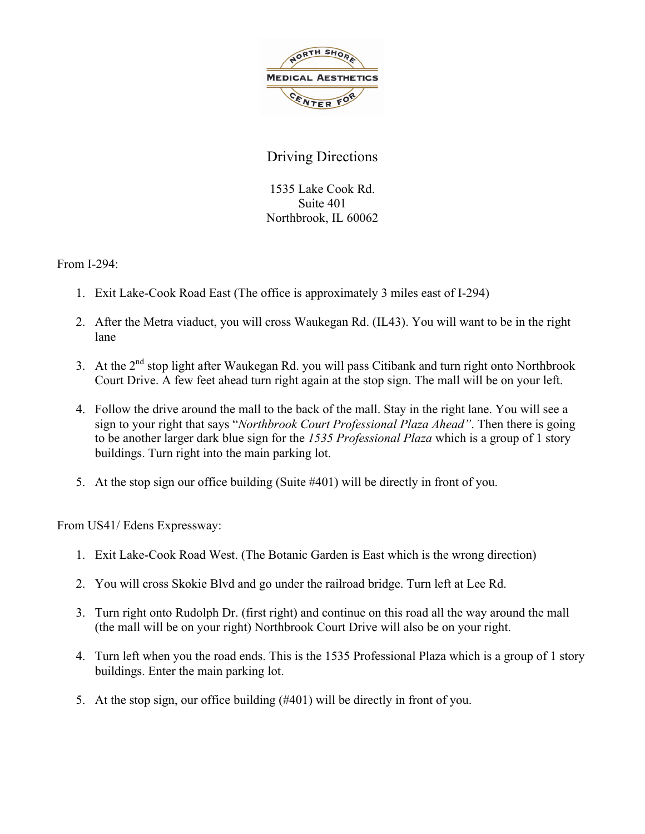

# Driving Directions

1535 Lake Cook Rd. Suite 401 Northbrook, IL 60062

From I-294:

- 1. Exit Lake-Cook Road East (The office is approximately 3 miles east of I-294)
- 2. After the Metra viaduct, you will cross Waukegan Rd. (IL43). You will want to be in the right lane
- 3. At the  $2<sup>nd</sup>$  stop light after Waukegan Rd. you will pass Citibank and turn right onto Northbrook Court Drive. A few feet ahead turn right again at the stop sign. The mall will be on your left.
- 4. Follow the drive around the mall to the back of the mall. Stay in the right lane. You will see a sign to your right that says "*Northbrook Court Professional Plaza Ahead"*. Then there is going to be another larger dark blue sign for the *1535 Professional Plaza* which is a group of 1 story buildings. Turn right into the main parking lot.
- 5. At the stop sign our office building (Suite #401) will be directly in front of you.

From US41/ Edens Expressway:

- 1. Exit Lake-Cook Road West. (The Botanic Garden is East which is the wrong direction)
- 2. You will cross Skokie Blvd and go under the railroad bridge. Turn left at Lee Rd.
- 3. Turn right onto Rudolph Dr. (first right) and continue on this road all the way around the mall (the mall will be on your right) Northbrook Court Drive will also be on your right.
- 4. Turn left when you the road ends. This is the 1535 Professional Plaza which is a group of 1 story buildings. Enter the main parking lot.
- 5. At the stop sign, our office building (#401) will be directly in front of you.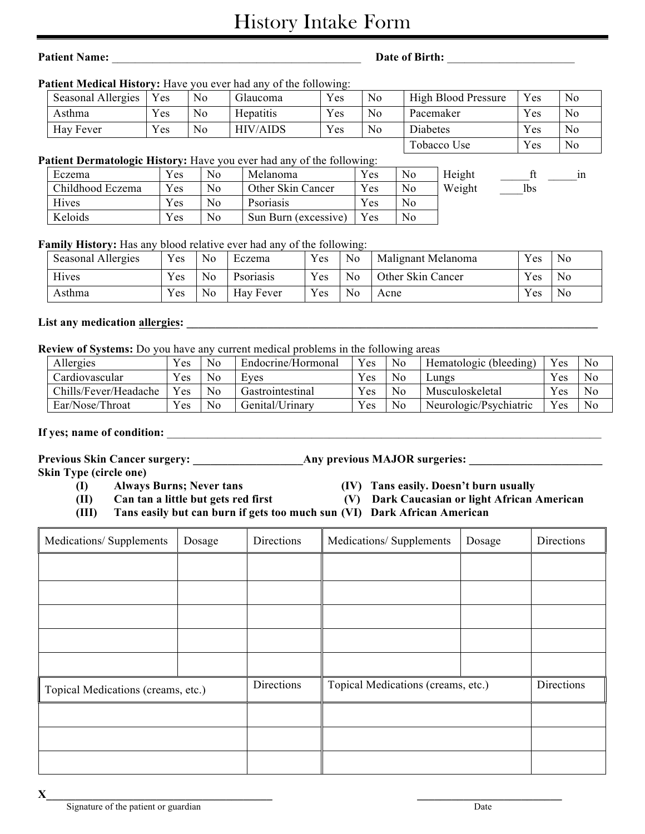# History Intake Form

# **Patient Name:** \_\_\_\_\_\_\_\_\_\_\_\_\_\_\_\_\_\_\_\_\_\_\_\_\_\_\_\_\_\_\_\_\_\_\_\_\_\_\_\_\_\_\_ **Date of Birth:** \_\_\_\_\_\_\_\_\_\_\_\_\_\_\_\_\_\_\_\_\_\_

### Patient Medical History: Have you ever had any of the following:

| Seasonal Allergies | $v_{es}$     | No             | Glaucoma        | Yes | N <sub>o</sub> | <b>High Blood Pressure</b> | $v_{es}$ | N <sub>0</sub> |
|--------------------|--------------|----------------|-----------------|-----|----------------|----------------------------|----------|----------------|
| Asthma             | Yes          | No.            | Hepatitis       | Yes | N <sub>0</sub> | Pacemaker                  | Yes      | N <sub>0</sub> |
| Hay Fever          | $Y_{\rm CS}$ | N <sub>0</sub> | <b>HIV/AIDS</b> | Yes | N <sub>0</sub> | Diabetes                   | Yes      | N <sub>0</sub> |
|                    |              |                |                 |     |                | Tobacco Use                | Yes      | N <sub>0</sub> |

### **Patient Dermatologic History:** Have you ever had any of the following:

| Eczema           | Yes | No             | Melanoma             | Yes | N <sub>0</sub> | Height |     | 1n |
|------------------|-----|----------------|----------------------|-----|----------------|--------|-----|----|
| Childhood Eczema | Yes | No             | Other Skin Cancer    | Yes | N <sub>0</sub> | Weight | lbs |    |
| Hives            | Yes | No.            | Psoriasis            | Yes | No             |        |     |    |
| Keloids          | Yes | N <sub>0</sub> | Sun Burn (excessive) | Yes | No             |        |     |    |

### **Family History:** Has any blood relative ever had any of the following:

| Seasonal Allergies | Yes | N <sub>o</sub> | Eczema    | Yes          | No.            | Malignant Melanoma | Yes      | N <sub>0</sub> |
|--------------------|-----|----------------|-----------|--------------|----------------|--------------------|----------|----------------|
| Hives              | Yes | N <sub>o</sub> | Psoriasis | Yes          | N <sub>o</sub> | Other Skin Cancer  | Yes      | No             |
| Asthma             | Yes | N <sub>o</sub> | Hay Fever | $Y_{\rm CS}$ | N <sub>0</sub> | Acne               | $V_{ES}$ | No             |

### List any medication allergies:

**Review of Systems:** Do you have any current medical problems in the following areas

| Allergies             | $v_{es}$ | No.            | Endocrine/Hormonal | Yes          | N <sub>0</sub> | Hematologic (bleeding) | Yes | N <sub>0</sub> |
|-----------------------|----------|----------------|--------------------|--------------|----------------|------------------------|-----|----------------|
| Cardiovascular        | $v_{es}$ | N <sub>0</sub> | Eves               | Yes          | N <sub>0</sub> | Lungs                  | Yes | N <sub>0</sub> |
| Chills/Fever/Headache | $v_{es}$ | N <sub>0</sub> | Gastrointestinal   | $V_{\rm CS}$ | N <sub>0</sub> | Musculoskeletal        | Yes | N <sub>0</sub> |
| Ear/Nose/Throat       | Yes      | N <sub>0</sub> | Genital/Urinary    | Yes          | N <sub>0</sub> | Neurologic/Psychiatric | Yes | N <sub>0</sub> |

### If yes; name of condition:

**Previous Skin Cancer surgery: \_\_\_\_\_\_\_\_\_\_\_\_\_\_\_\_\_\_\_Any previous MAJOR surgeries: \_\_\_\_\_\_\_\_\_\_\_\_\_\_\_\_\_\_\_\_\_\_\_**

**Skin Type (circle one)**

- **(I) Always Burns; Never tans (IV) Tans easily. Doesn't burn usually**
	-
- **(II) Can tan a little but gets red first (V) Dark Caucasian or light African American**
	-
- **(III) Tans easily but can burn if gets too much sun (VI) Dark African American**
- Medications/ Supplements Dosage Directions Medications/ Supplements Dosage Directions Topical Medications (creams, etc.) Directions Topical Medications (creams, etc.) Directions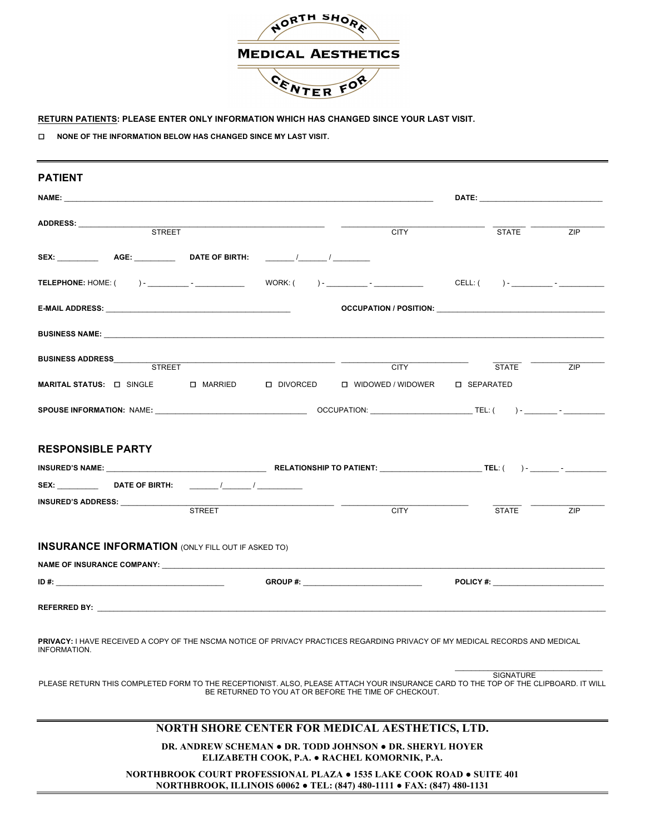

#### **RETURN PATIENTS: PLEASE ENTER ONLY INFORMATION WHICH HAS CHANGED SINCE YOUR LAST VISIT.**

¨ **NONE OF THE INFORMATION BELOW HAS CHANGED SINCE MY LAST VISIT.**

| <b>PATIENT</b>                                                                                                                                      |                                                          |                                                                                                                      |                                                       |                           |     |
|-----------------------------------------------------------------------------------------------------------------------------------------------------|----------------------------------------------------------|----------------------------------------------------------------------------------------------------------------------|-------------------------------------------------------|---------------------------|-----|
|                                                                                                                                                     |                                                          |                                                                                                                      |                                                       |                           |     |
| ADDRESS: STREET                                                                                                                                     | <u> 1989 - Jan Stein Stein, fransk politik (f. 1989)</u> |                                                                                                                      | <b>CITY</b>                                           | $\overline{\text{STATE}}$ | ZIP |
| SEX: ___________  AGE: ___________  DATE OF BIRTH:   _______/ ________/ _________                                                                   |                                                          |                                                                                                                      |                                                       |                           |     |
|                                                                                                                                                     |                                                          |                                                                                                                      |                                                       |                           |     |
|                                                                                                                                                     |                                                          |                                                                                                                      |                                                       |                           |     |
|                                                                                                                                                     |                                                          |                                                                                                                      |                                                       |                           |     |
|                                                                                                                                                     |                                                          |                                                                                                                      |                                                       |                           | ZIP |
| MARITAL STATUS: DI SINGLE DI MARRIED DI DIVORCED DI WIDOWED / WIDOWER DI SEPARATED                                                                  |                                                          |                                                                                                                      |                                                       |                           |     |
|                                                                                                                                                     |                                                          |                                                                                                                      |                                                       |                           |     |
| <b>RESPONSIBLE PARTY</b><br>SEX: _____________  DATE OF BIRTH:   ________/_________/ _______________<br>INSURED'S ADDRESS: ________________         |                                                          | <u> 1989 - Jan Samuel Barbara, politik eta politik eta politik eta politik eta politik eta politik eta politik e</u> |                                                       |                           |     |
|                                                                                                                                                     | <b>STREET</b>                                            |                                                                                                                      | <b>CITY</b>                                           | <b>STATE</b>              | ZIP |
| <b>INSURANCE INFORMATION (ONLY FILL OUT IF ASKED TO)</b>                                                                                            |                                                          |                                                                                                                      |                                                       |                           |     |
|                                                                                                                                                     |                                                          |                                                                                                                      |                                                       |                           |     |
|                                                                                                                                                     |                                                          |                                                                                                                      |                                                       |                           |     |
| PRIVACY: I HAVE RECEIVED A COPY OF THE NSCMA NOTICE OF PRIVACY PRACTICES REGARDING PRIVACY OF MY MEDICAL RECORDS AND MEDICAL<br><b>INFORMATION.</b> |                                                          |                                                                                                                      |                                                       |                           |     |
| PLEASE RETURN THIS COMPLETED FORM TO THE RECEPTIONIST. ALSO, PLEASE ATTACH YOUR INSURANCE CARD TO THE TOP OF THE CLIPBOARD. IT WILL                 |                                                          |                                                                                                                      | BE RETURNED TO YOU AT OR BEFORE THE TIME OF CHECKOUT. | <b>SIGNATURE</b>          |     |
|                                                                                                                                                     |                                                          |                                                                                                                      | NORTH SHORE CENTER FOR MEDICAL AESTHETICS, LTD.       |                           |     |

**DR. ANDREW SCHEMAN ● DR. TODD JOHNSON ● DR. SHERYL HOYER ELIZABETH COOK, P.A. ● RACHEL KOMORNIK, P.A.**

**NORTHBROOK COURT PROFESSIONAL PLAZA ● 1535 LAKE COOK ROAD ● SUITE 401 NORTHBROOK, ILLINOIS 60062 ● TEL: (847) 480-1111 ● FAX: (847) 480-1131**